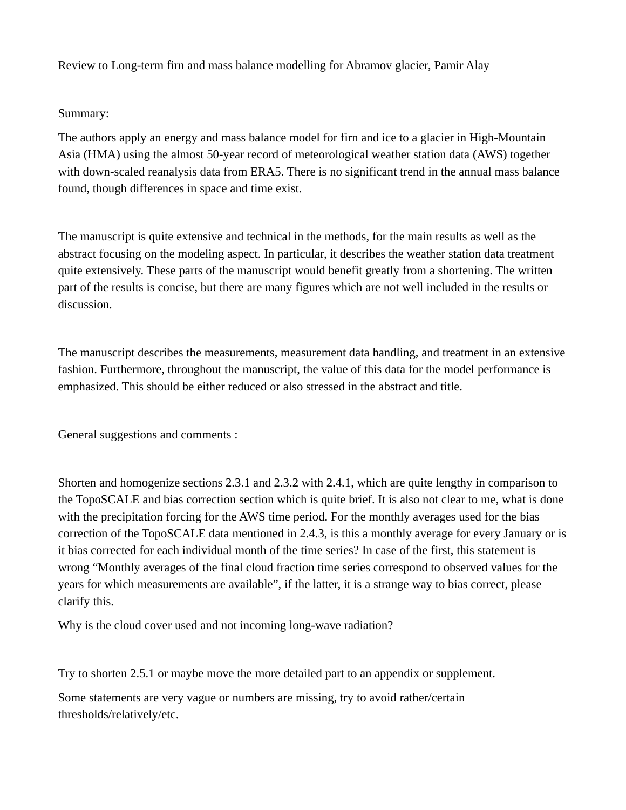Review to Long-term firn and mass balance modelling for Abramov glacier, Pamir Alay

## Summary:

The authors apply an energy and mass balance model for firn and ice to a glacier in High-Mountain Asia (HMA) using the almost 50-year record of meteorological weather station data (AWS) together with down-scaled reanalysis data from ERA5. There is no significant trend in the annual mass balance found, though differences in space and time exist.

The manuscript is quite extensive and technical in the methods, for the main results as well as the abstract focusing on the modeling aspect. In particular, it describes the weather station data treatment quite extensively. These parts of the manuscript would benefit greatly from a shortening. The written part of the results is concise, but there are many figures which are not well included in the results or discussion.

The manuscript describes the measurements, measurement data handling, and treatment in an extensive fashion. Furthermore, throughout the manuscript, the value of this data for the model performance is emphasized. This should be either reduced or also stressed in the abstract and title.

General suggestions and comments :

Shorten and homogenize sections 2.3.1 and 2.3.2 with 2.4.1, which are quite lengthy in comparison to the TopoSCALE and bias correction section which is quite brief. It is also not clear to me, what is done with the precipitation forcing for the AWS time period. For the monthly averages used for the bias correction of the TopoSCALE data mentioned in 2.4.3, is this a monthly average for every January or is it bias corrected for each individual month of the time series? In case of the first, this statement is wrong "Monthly averages of the final cloud fraction time series correspond to observed values for the years for which measurements are available", if the latter, it is a strange way to bias correct, please clarify this.

Why is the cloud cover used and not incoming long-wave radiation?

Try to shorten 2.5.1 or maybe move the more detailed part to an appendix or supplement.

Some statements are very vague or numbers are missing, try to avoid rather/certain thresholds/relatively/etc.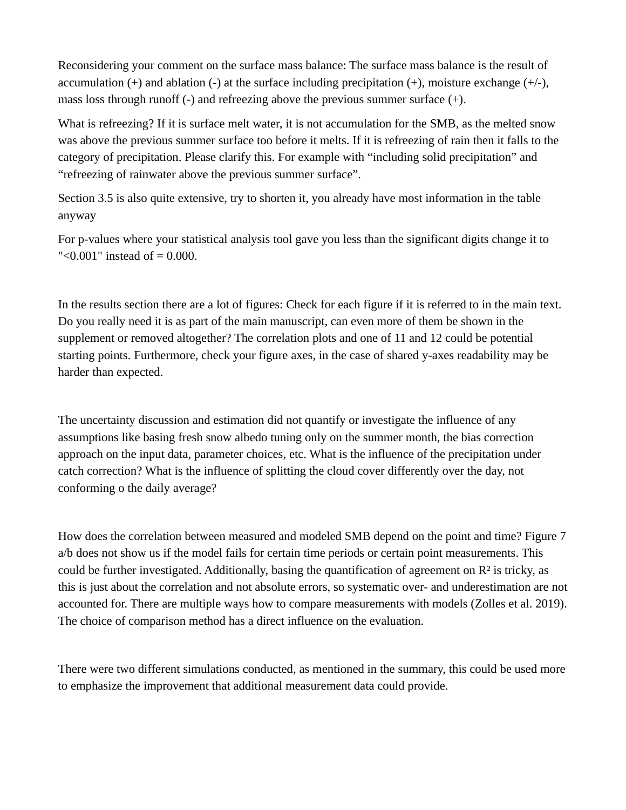Reconsidering your comment on the surface mass balance: The surface mass balance is the result of accumulation  $(+)$  and ablation  $(-)$  at the surface including precipitation  $(+)$ , moisture exchange  $(+/-)$ , mass loss through runoff  $(-)$  and refreezing above the previous summer surface  $(+)$ .

What is refreezing? If it is surface melt water, it is not accumulation for the SMB, as the melted snow was above the previous summer surface too before it melts. If it is refreezing of rain then it falls to the category of precipitation. Please clarify this. For example with "including solid precipitation" and "refreezing of rainwater above the previous summer surface".

Section 3.5 is also quite extensive, try to shorten it, you already have most information in the table anyway

For p-values where your statistical analysis tool gave you less than the significant digits change it to  $"$  < 0.001" instead of  $= 0.000$ .

In the results section there are a lot of figures: Check for each figure if it is referred to in the main text. Do you really need it is as part of the main manuscript, can even more of them be shown in the supplement or removed altogether? The correlation plots and one of 11 and 12 could be potential starting points. Furthermore, check your figure axes, in the case of shared y-axes readability may be harder than expected.

The uncertainty discussion and estimation did not quantify or investigate the influence of any assumptions like basing fresh snow albedo tuning only on the summer month, the bias correction approach on the input data, parameter choices, etc. What is the influence of the precipitation under catch correction? What is the influence of splitting the cloud cover differently over the day, not conforming o the daily average?

How does the correlation between measured and modeled SMB depend on the point and time? Figure 7 a/b does not show us if the model fails for certain time periods or certain point measurements. This could be further investigated. Additionally, basing the quantification of agreement on  $\mathbb{R}^2$  is tricky, as this is just about the correlation and not absolute errors, so systematic over- and underestimation are not accounted for. There are multiple ways how to compare measurements with models (Zolles et al. 2019). The choice of comparison method has a direct influence on the evaluation.

There were two different simulations conducted, as mentioned in the summary, this could be used more to emphasize the improvement that additional measurement data could provide.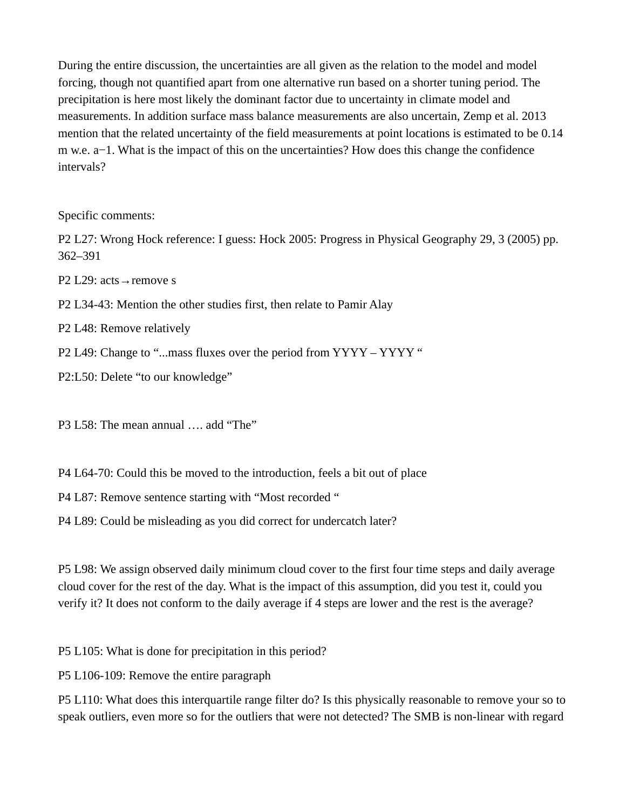During the entire discussion, the uncertainties are all given as the relation to the model and model forcing, though not quantified apart from one alternative run based on a shorter tuning period. The precipitation is here most likely the dominant factor due to uncertainty in climate model and measurements. In addition surface mass balance measurements are also uncertain, Zemp et al. 2013 mention that the related uncertainty of the field measurements at point locations is estimated to be 0.14 m w.e. a−1. What is the impact of this on the uncertainties? How does this change the confidence intervals?

Specific comments:

P2 L27: Wrong Hock reference: I guess: Hock 2005: Progress in Physical Geography 29, 3 (2005) pp. 362–391

P2 L29: acts → remove s

P2 L34-43: Mention the other studies first, then relate to Pamir Alay

P2 L48: Remove relatively

P2 L49: Change to "...mass fluxes over the period from YYYY - YYYY "

P2:L50: Delete "to our knowledge"

P3 L58: The mean annual .... add "The"

P4 L64-70: Could this be moved to the introduction, feels a bit out of place

P4 L87: Remove sentence starting with "Most recorded "

P4 L89: Could be misleading as you did correct for undercatch later?

P5 L98: We assign observed daily minimum cloud cover to the first four time steps and daily average cloud cover for the rest of the day. What is the impact of this assumption, did you test it, could you verify it? It does not conform to the daily average if 4 steps are lower and the rest is the average?

P5 L105: What is done for precipitation in this period?

P5 L106-109: Remove the entire paragraph

P5 L110: What does this interquartile range filter do? Is this physically reasonable to remove your so to speak outliers, even more so for the outliers that were not detected? The SMB is non-linear with regard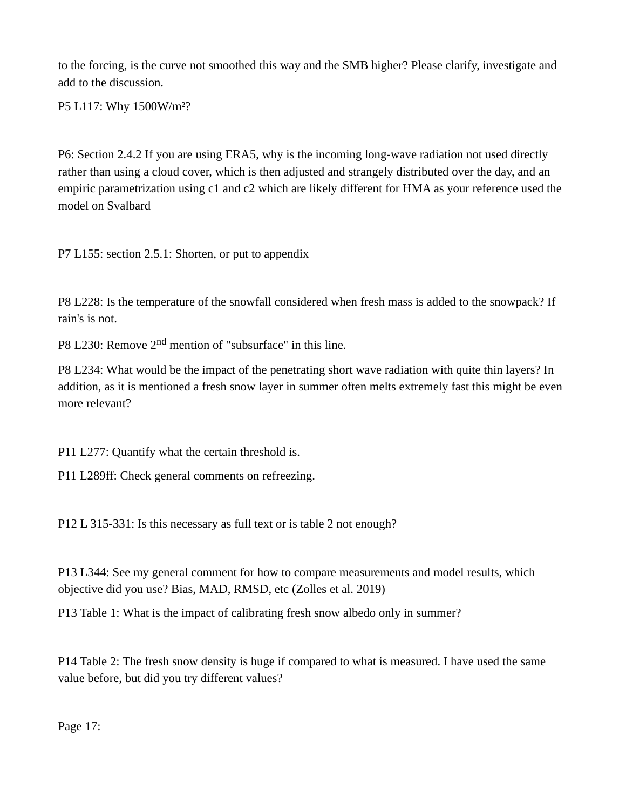to the forcing, is the curve not smoothed this way and the SMB higher? Please clarify, investigate and add to the discussion.

P5 L117: Why 1500W/m²?

P6: Section 2.4.2 If you are using ERA5, why is the incoming long-wave radiation not used directly rather than using a cloud cover, which is then adjusted and strangely distributed over the day, and an empiric parametrization using c1 and c2 which are likely different for HMA as your reference used the model on Svalbard

P7 L155: section 2.5.1: Shorten, or put to appendix

P8 L228: Is the temperature of the snowfall considered when fresh mass is added to the snowpack? If rain's is not.

P8 L230: Remove 2<sup>nd</sup> mention of "subsurface" in this line.

P8 L234: What would be the impact of the penetrating short wave radiation with quite thin layers? In addition, as it is mentioned a fresh snow layer in summer often melts extremely fast this might be even more relevant?

P11 L277: Quantify what the certain threshold is.

P11 L289ff: Check general comments on refreezing.

P12 L 315-331: Is this necessary as full text or is table 2 not enough?

P13 L344: See my general comment for how to compare measurements and model results, which objective did you use? Bias, MAD, RMSD, etc (Zolles et al. 2019)

P13 Table 1: What is the impact of calibrating fresh snow albedo only in summer?

P14 Table 2: The fresh snow density is huge if compared to what is measured. I have used the same value before, but did you try different values?

Page 17: